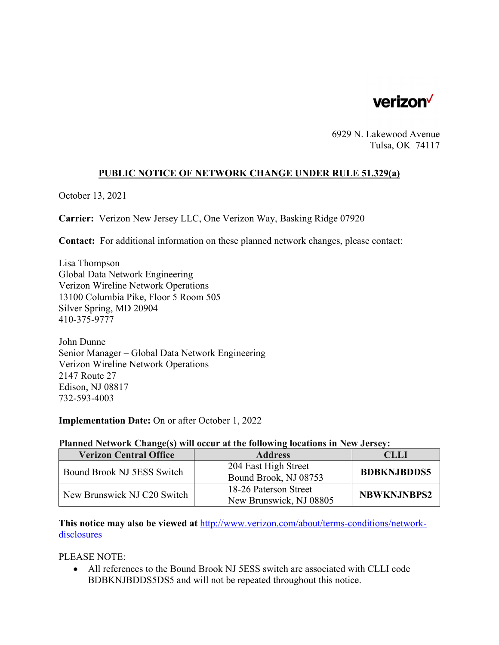

6929 N. Lakewood Avenue Tulsa, OK 74117

## **PUBLIC NOTICE OF NETWORK CHANGE UNDER RULE 51.329(a)**

October 13, 2021

**Carrier:** Verizon New Jersey LLC, One Verizon Way, Basking Ridge 07920

**Contact:** For additional information on these planned network changes, please contact:

Lisa Thompson Global Data Network Engineering Verizon Wireline Network Operations 13100 Columbia Pike, Floor 5 Room 505 Silver Spring, MD 20904 410-375-9777

John Dunne Senior Manager – Global Data Network Engineering Verizon Wireline Network Operations 2147 Route 27 Edison, NJ 08817 732-593-4003

**Implementation Date:** On or after October 1, 2022

## **Planned Network Change(s) will occur at the following locations in New Jersey:**

| <b>Verizon Central Office</b> | <b>Address</b>          | <b>CLLI</b>        |
|-------------------------------|-------------------------|--------------------|
| Bound Brook NJ 5ESS Switch    | 204 East High Street    | <b>BDBKNJBDDS5</b> |
|                               | Bound Brook, NJ 08753   |                    |
| New Brunswick NJ C20 Switch   | 18-26 Paterson Street   | <b>NBWKNJNBPS2</b> |
|                               | New Brunswick, NJ 08805 |                    |

**This notice may also be viewed at** http://www.verizon.com/about/terms-conditions/networkdisclosures

PLEASE NOTE:

 All references to the Bound Brook NJ 5ESS switch are associated with CLLI code BDBKNJBDDS5DS5 and will not be repeated throughout this notice.